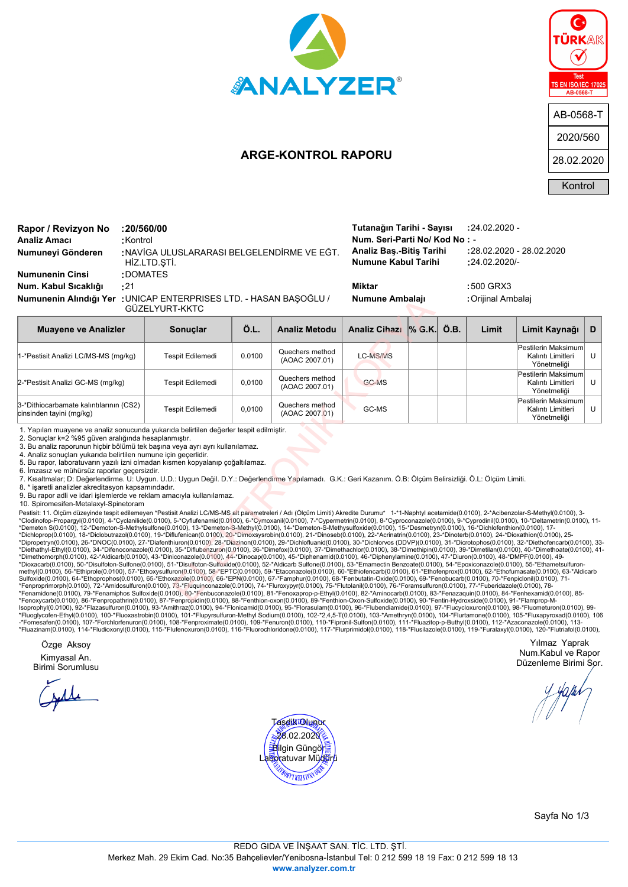

## **ARGE-KONTROL RAPORU**



## NAVİGA ULUSLARARASI BELGELENDİRME VE EĞT. HİZ.LTD.ŞTİ. **Numuneyi Gönderen : Analiz Amacı :**Kontrol **Rapor / Revizyon No :20/560/00**

**Numunenin Cinsi :**DOMATES

**Num. Kabul Sıcaklığı :**21 **Miktar :**500 GRX3 UNICAP ENTERPRISES LTD. - HASAN BAŞOĞLU / **Numune Ambalajı :**Orijinal Ambalaj **Numunenin Alındığı Yer :** GÜZELYURT-KKTC

**Numune Kabul Tarihi :**24.02.2020/- **Analiz Baş.-Bitiş Tarihi :**28.02.2020 - 28.02.2020 **Num. Seri-Parti No/ Kod No :** - **Tutanağın Tarihi - Sayısı :**24.02.2020 -

| Numunenin Alındığı Yer : UNICAP ENTERPRISES LTD. - HASAN BAŞOĞLU /<br>GÜZELYURT-KKTC                                                                                                                                                                                                                                                                                                                                                                                                                                                                                                                                                                                                                                                                                                                                                                                                                                                                                                                                                                                                                                                                                                                                                                                                                                                                                                                                                                                                                                                                                                                                                                                                                                                                                                                                                                                                                                                                                                                                                                                                                                                                                                                                                                                                                                                                                                                                                                                                                                                                                                                                                                              | Numune Ambalajı         |        |                                   | : Orijinal Ambalaj   |  |      |       |                                                         |   |
|-------------------------------------------------------------------------------------------------------------------------------------------------------------------------------------------------------------------------------------------------------------------------------------------------------------------------------------------------------------------------------------------------------------------------------------------------------------------------------------------------------------------------------------------------------------------------------------------------------------------------------------------------------------------------------------------------------------------------------------------------------------------------------------------------------------------------------------------------------------------------------------------------------------------------------------------------------------------------------------------------------------------------------------------------------------------------------------------------------------------------------------------------------------------------------------------------------------------------------------------------------------------------------------------------------------------------------------------------------------------------------------------------------------------------------------------------------------------------------------------------------------------------------------------------------------------------------------------------------------------------------------------------------------------------------------------------------------------------------------------------------------------------------------------------------------------------------------------------------------------------------------------------------------------------------------------------------------------------------------------------------------------------------------------------------------------------------------------------------------------------------------------------------------------------------------------------------------------------------------------------------------------------------------------------------------------------------------------------------------------------------------------------------------------------------------------------------------------------------------------------------------------------------------------------------------------------------------------------------------------------------------------------------------------|-------------------------|--------|-----------------------------------|----------------------|--|------|-------|---------------------------------------------------------|---|
| <b>Muayene ve Analizler</b>                                                                                                                                                                                                                                                                                                                                                                                                                                                                                                                                                                                                                                                                                                                                                                                                                                                                                                                                                                                                                                                                                                                                                                                                                                                                                                                                                                                                                                                                                                                                                                                                                                                                                                                                                                                                                                                                                                                                                                                                                                                                                                                                                                                                                                                                                                                                                                                                                                                                                                                                                                                                                                       | Sonuclar                | Ö.L.   | <b>Analiz Metodu</b>              | Analiz Cihazi % G.K. |  | Ö.B. | Limit | Limit Kaynağı                                           | D |
| 1-*Pestisit Analizi LC/MS-MS (mg/kg)                                                                                                                                                                                                                                                                                                                                                                                                                                                                                                                                                                                                                                                                                                                                                                                                                                                                                                                                                                                                                                                                                                                                                                                                                                                                                                                                                                                                                                                                                                                                                                                                                                                                                                                                                                                                                                                                                                                                                                                                                                                                                                                                                                                                                                                                                                                                                                                                                                                                                                                                                                                                                              | Tespit Edilemedi        | 0.0100 | Quechers method<br>(AOAC 2007.01) | <b>LC-MS/MS</b>      |  |      |       | Pestilerin Maksimum<br>Kalıntı Limitleri<br>Yönetmeliği | U |
| 2-*Pestisit Analizi GC-MS (mg/kg)                                                                                                                                                                                                                                                                                                                                                                                                                                                                                                                                                                                                                                                                                                                                                                                                                                                                                                                                                                                                                                                                                                                                                                                                                                                                                                                                                                                                                                                                                                                                                                                                                                                                                                                                                                                                                                                                                                                                                                                                                                                                                                                                                                                                                                                                                                                                                                                                                                                                                                                                                                                                                                 | <b>Tespit Edilemedi</b> | 0,0100 | Quechers method<br>(AOAC 2007.01) | <b>GC-MS</b>         |  |      |       | Pestilerin Maksimum<br>Kalıntı Limitleri<br>Yönetmeliği | U |
| 3-*Dithiocarbamate kalıntılarının (CS2)<br>cinsinden tayini (mg/kg)                                                                                                                                                                                                                                                                                                                                                                                                                                                                                                                                                                                                                                                                                                                                                                                                                                                                                                                                                                                                                                                                                                                                                                                                                                                                                                                                                                                                                                                                                                                                                                                                                                                                                                                                                                                                                                                                                                                                                                                                                                                                                                                                                                                                                                                                                                                                                                                                                                                                                                                                                                                               | Tespit Edilemedi        | 0.0100 | Quechers method<br>(AOAC 2007.01) | GC-MS                |  |      |       | Pestilerin Maksimum<br>Kalıntı Limitleri<br>Yönetmeliği | U |
| 2. Sonuçlar k=2 %95 güven aralığında hesaplanmıştır.<br>3. Bu analiz raporunun hicbir bölümü tek başına veya ayrı ayrı kullanılamaz.<br>4. Analiz sonuçları yukarıda belirtilen numune için geçerlidir.<br>5. Bu rapor, laboratuvarın yazılı izni olmadan kısmen kopyalanıp çoğaltılamaz.<br>6. İmzasız ve mühürsüz raporlar geçersizdir.<br>7. Kısaltmalar; D: Değerlendirme. U: Uygun. U.D.: Uygun Değil. D.Y.: Değerlendirme Yapılamadı. G.K.: Geri Kazanım. Ö.B: Ölcüm Belirsizliği. Ö.L: Ölcüm Limiti.<br>8. * işaretli analizler akreditasyon kapsamındadır.<br>9. Bu rapor adli ve idari islemlerde ve reklam amacıyla kullanılamaz.<br>10. Spiromesifen-Metalaxyl-Spinetoram                                                                                                                                                                                                                                                                                                                                                                                                                                                                                                                                                                                                                                                                                                                                                                                                                                                                                                                                                                                                                                                                                                                                                                                                                                                                                                                                                                                                                                                                                                                                                                                                                                                                                                                                                                                                                                                                                                                                                                              |                         |        |                                   |                      |  |      |       |                                                         |   |
| Pestisit: 11. Ölçüm düzeyinde tespit edilemeyen *Pestisit Analizi LC/MS-MS alt parametreleri / Adı (Ölçüm Limiti) Akredite Durumu* 1-*1-Naphtyl acetamide(0.0100), 2-*Acibenzolar-S-Methyl(0.0100), 3-<br>*Clodinofop-Proparqyl(0.0100), 4-*Cyclanilide(0.0100), 5-*Cyflufenamid(0.0100), 6-*Cymoxanil(0.0100), 7-*Cypermetrin(0.0100), 8-*Cyproconazole(0.0100), 9-*Cyprodinil(0.0100), 10-*Deltametrin(0.0100), 11-<br>*Demeton S(0.0100), 12-*Demoton-S-Methylsulfone(0.0100), 13-*Demeton-S-Methyl(0.0100), 14-*Demeton-S-Methysulfoxide(0.0100), 15-*Desmetryn(0.0100), 16-*Dichlofenthion(0.0100), 17-<br>*Dichloprop(0.0100), 18-*Diclobutrazol(0.0100), 19-*Diflufenican(0.0100), 20-*Dimoxsysrobin(0.0100), 21-*Dinoseb(0.0100), 22-*Acrinatrin(0.0100), 23-*Dinoterb(0.0100), 24-*Dioxathion(0.0100), 25-<br>*Dipropetryn(0.0100), 26-*DNOC(0.0100), 27-*Diafenthiuron(0.0100), 28-*Diazinon(0.0100), 29-*Dichlofluanid(0.0100), 30-*Dichlorvos (DDVP)(0.0100), 31-*Dicrotophos(0.0100), 32-*Diethofencarb(0.0100), 33<br>*Diethathyl-Ethyl(0.0100), 34-*Difenoconazole(0.0100), 35-*Diflubenzuron(0.0100), 36-*Dimefox(0.0100), 37-*Dimethachlor(0.0100), 38-*Dimethipin(0.0100), 39-*Dimetilan(0.0100), 40-*Dimethote(0.0100), 40-*Dimethote(0.0100),<br>*Dimethomorph(0.0100), 42-*Aldicarb(0.0100), 43-*Diniconazole(0.0100), 44-*Dinocap(0.0100), 45-*Diphenamid(0.0100), 46-*Diphenylamine(0.0100), 47-*Diuron(0.0100), 48-*DMPF(0.0100), 49-<br>*Dioxacarb(0.0100), 50-*Disulfoton-Sulfone(0.0100), 51-*Disulfoton-Sulfoxide(0.0100), 52-*Aldicarb Sulfone(0.0100), 53-*Emamectin Benzoate(0.0100), 54-*Epoxiconazole(0.0100), 55-*Ethametsulfuron-<br>methyl(0.0100), 56-*Ethiprole(0.0100), 57-*Ethoxysulfuron(0.0100), 58-*EPTC(0.0100), 59-*Etaconazole(0.0100), 60-*Ethiofencarb(0.0100), 61-*Ethofenprox(0.0100), 62-*Ethofumasate(0.0100), 63-*Aldicarb<br>Sulfoxide(0.0100), 64-*Ethoprophos(0.0100), 65-*Ethoxazole(0.0100), 66-*EPN(0.0100), 67-*Famphur(0.0100), 68-*Fenbutatin-Oxide(0.0100), 69-*Fenobucarb(0.0100), 70-*Fenpiclonil(0.0100), 71-<br>*Fenproprimorph(0.0100), 72-*Amidosulfuron(0.0100), 73-*Fluquinconazole(0.0100), 74-*Fluroxypyr(0.0100), 75-*Flutolanil(0.0100), 76-*Foramsulfuron(0.0100), 77-*Fuberidazole(0.0100), 78-<br>*Fenamidone(0.0100), 79-*Fenamiphos Sulfoxide(0.0100), 80-*Fenbuconazole(0.0100), 81-*Fenoxaprop-p-Ethyl(0.0100), 82-*Aminocarb(0.0100), 83-*Fenazaquin(0.0100), 84-*Fenhexamid(0.0100), 85-<br>*Eenoxycarb(0.0100) 86-*Eenoropathrin(0.0100) 87-*Eenoropidin(0.0100) 88-*Eenthion-oxon(0.0100) 89-*Eenthion-Oxon-Sulfoxide(0.0100) 90-*Eentin-Hydroxside(0.0100) 91-*Elamprop-M- |                         |        |                                   |                      |  |      |       |                                                         |   |

Pestisit: 11. Ölçüm düzeyinde tespit edilemeyen \*Pestisit Analizi LC/MS-MS alt parametreleri / Adı (Ölçüm Limiti) Akredite Durumu\* 1-\*1-Naphtyl acetamide(0.0100), 2-\*Acibenzolar-S-Methyl(0.0100), 3-<br>\*Clodinofop-Propargyl(0 "Demeton S(0.0100), 14-"Diemoton-S-Methylsulfuron(0.0100), 13-"Demeton-S-Methylco1010), 14-"Demeton-S-Methylcon-S-Methylcon-S-Methylecon-S-Methylcon-S-Methylecon-Difference (0.0100), 14-"Dimoteption(0.0100), 14-"Dimotepti

Özge Aksoy

Kimyasal An. Birimi Sorumlusu



Yılmaz Yaprak Num.Kabul ve Rapor Düzenleme Birimi Sor.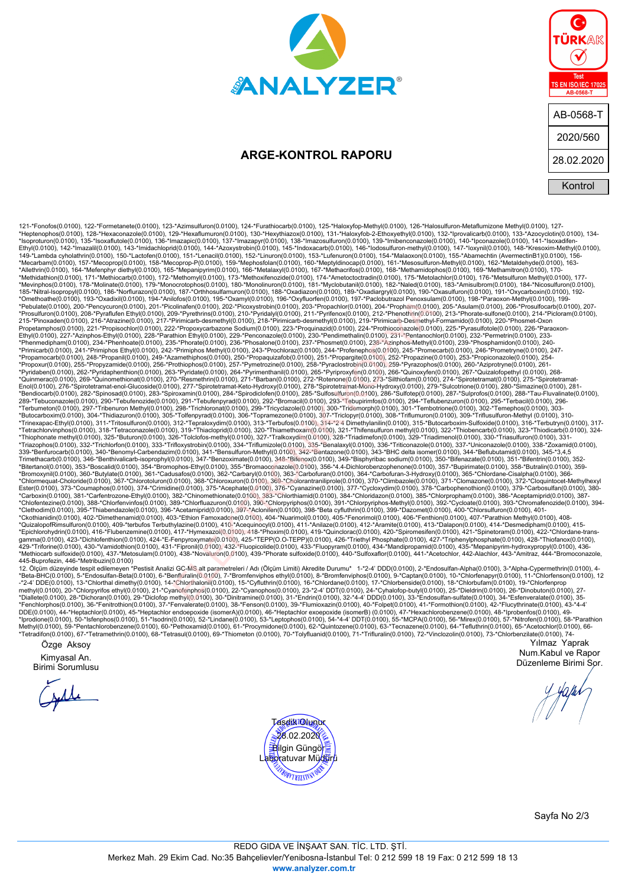

## **ARGE-KONTROL RAPORU**

| G<br>TÜRKAK                                            |
|--------------------------------------------------------|
| <b>Test</b><br><b>TS EN ISO/IEC 17025</b><br>AB-0568-T |
| AB-0568-T                                              |
| 2020/560                                               |
| 28.02.2020                                             |
| Kontrol                                                |

121-Fenderal 0100, 123-Fenderal 0100, 123-Amendment0 0100, 134-Fenderal 0100, 125-Fenderal 0100, 124-Fenderal 0100, 124-Fenderal 0100, 124-Fenderal 0100, 124-Fenderal 0100, 124-Fenderal 0100, 124-Fenderal 0100, 124-Fender \*Carboxin(0.0100), 381-\*Carfentrozone-Ethyl(0.0100), 382-\*Chinomethionate(0.0100), 383-\*Chlorithiamid(0.0100), 384-\*Chloridazon(0.0100), 385-\*Chlorpropham(0.0100), 386-\*Aceptamiprid(0.0100), 387-<br>\*Chlorentezine (0.0100), 3 iofes (0.0100), 185- Champing (0.0100), 196- Champing (0.0100), 197- Packbolinizzal Penossilan Packbolinizal Penossilan Packbolinizal Penossilan Packbolinizal Penossilan Packbolinizal Penossilan Packbolinizal Penossilan Pa

445-Buprofezin, 446-\*Metribuzin(0.0100)<br>12. Ölçüm düzeyinde tespit edilemeyen \*Pestisit Analizi GC-MS alt parametreleri / Adı (Ölçüm Limiti) Akredite Durumu\* 1-\*2-4' DDD(0.0100), 2-\*Endosulfan-Alpha(0.0100), 3-\*Alpha-Cyp methyl(0.0100), 20-\*Chlorpyrifos ethyl(0.0100), 21-\*Cyanofenphos(0.0100), 22-\*Cyanophos(0.0100), 23-\*2-4' DDT(0.0100), 24-\*Cyhalofop-butyl(0.0100), 25-\*Dieldrin(0.0100), 28-\*Dinobuton(0.0100), 27-<br>\*Diallete(0.0100), 28-\*Di Özge Aksoy Yılmaz Yaprak

Kimyasal An.

Birimi Sorumlusu



Num.Kabul ve Rapor Düzenleme Birimi Sor.

Sayfa No 2/3